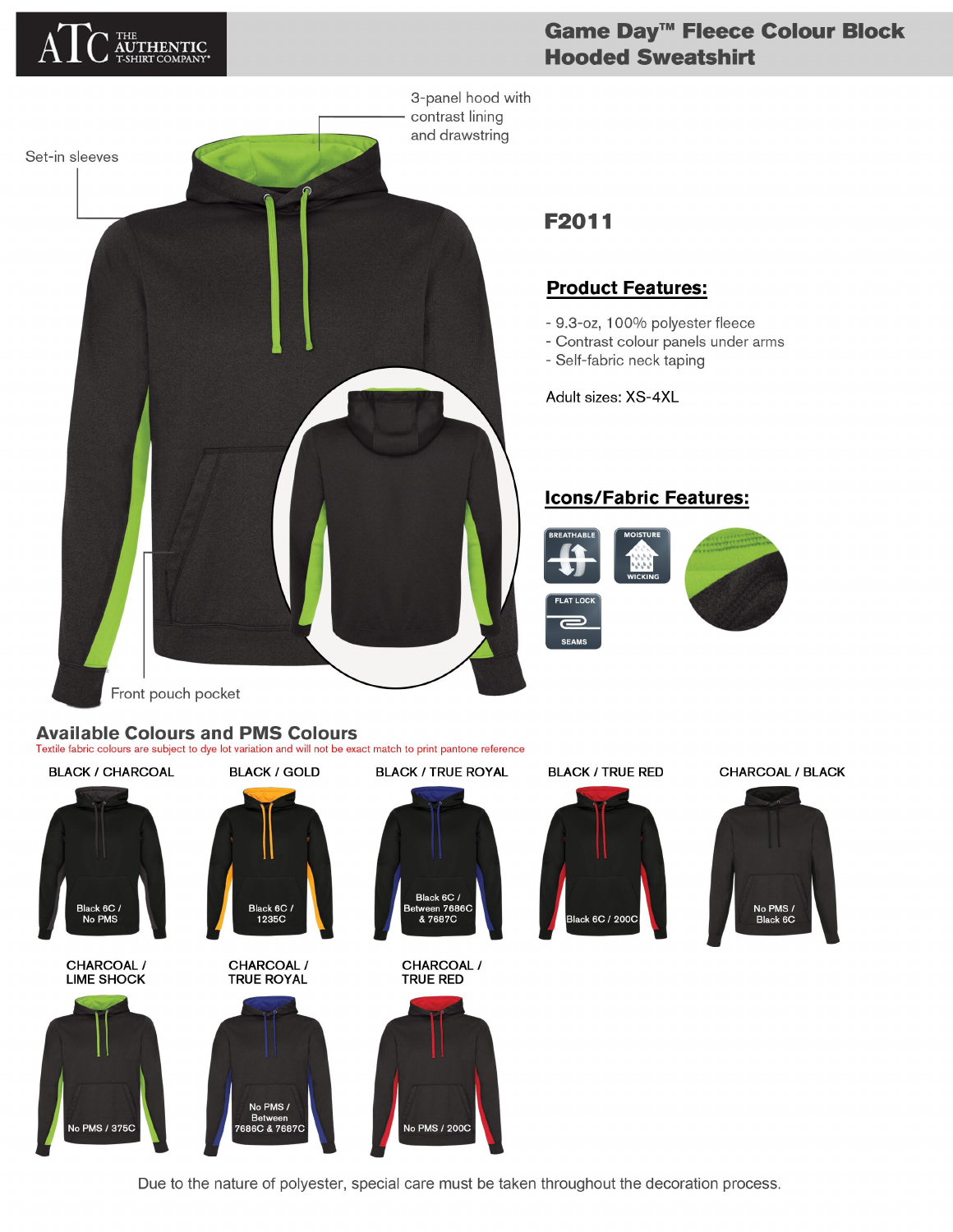

# Game Day<sup>™</sup> Fleece Colour Block **Hooded Sweatshirt**



## **Product Features:**

- 9.3-oz, 100% polyester fleece
- Contrast colour panels under arms
- Self-fabric neck taping

Adult sizes: XS-4XL

### **Icons/Fabric Features:**



# **Available Colours and PMS Colours**

Textile fabric colours are subject to dye lot variation and will not be exact match to print pantone reference



Due to the nature of polyester, special care must be taken throughout the decoration process.